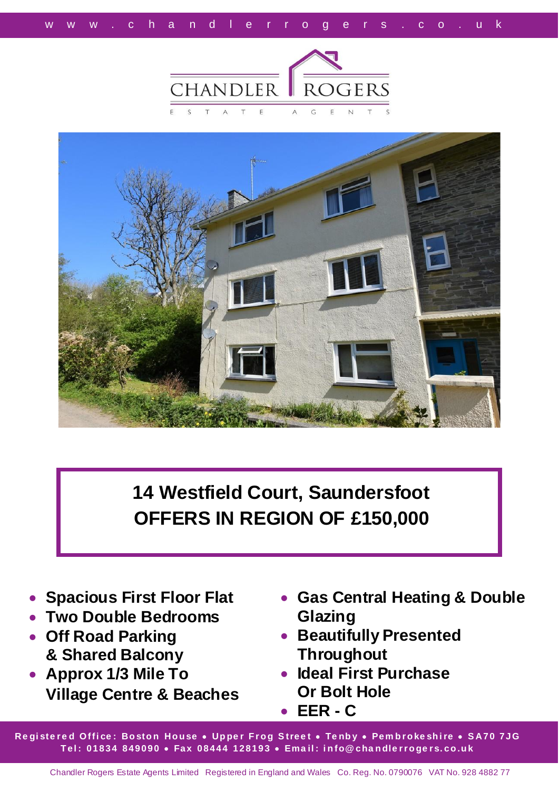



**14 Westfield Court, Saundersfoot OFFERS IN REGION OF £150,000**

- **Spacious First Floor Flat**
- **Two Double Bedrooms**
- **Off Road Parking & Shared Balcony**
- **Approx 1/3 Mile To Village Centre & Beaches**
- **Gas Central Heating & Double Glazing**
- **Beautifully Presented Throughout**
- **Ideal First Purchase Or Bolt Hole**
- **EER - C**

**Re gi ste r e d O ffi ce : Bo sto n Ho u se Up pe r F r o g S tree t Te nb y Pem b r o ke sh i re S A70 7JG T el : 01834 849090 Fax 08444 128193 Ema il : i n fo@ cha n dle r r o ge r s. co .u k**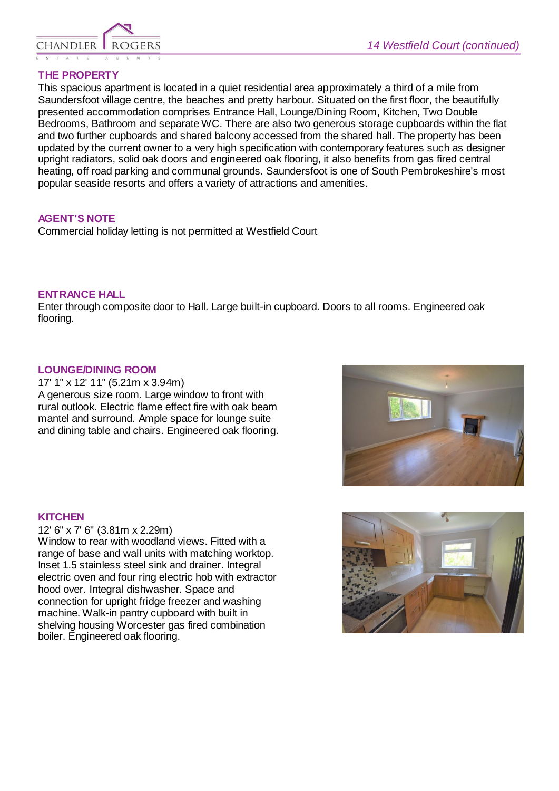

# **THE PROPERTY**

This spacious apartment is located in a quiet residential area approximately a third of a mile from Saundersfoot village centre, the beaches and pretty harbour. Situated on the first floor, the beautifully presented accommodation comprises Entrance Hall, Lounge/Dining Room, Kitchen, Two Double Bedrooms, Bathroom and separate WC. There are also two generous storage cupboards within the flat and two further cupboards and shared balcony accessed from the shared hall. The property has been updated by the current owner to a very high specification with contemporary features such as designer upright radiators, solid oak doors and engineered oak flooring, it also benefits from gas fired central heating, off road parking and communal grounds. Saundersfoot is one of South Pembrokeshire's most popular seaside resorts and offers a variety of attractions and amenities.

#### **AGENT'S NOTE**

Commercial holiday letting is not permitted at Westfield Court

# **ENTRANCE HALL**

Enter through composite door to Hall. Large built-in cupboard. Doors to all rooms. Engineered oak flooring.

#### **LOUNGE/DINING ROOM**

17' 1" x 12' 11" (5.21m x 3.94m) A generous size room. Large window to front with rural outlook. Electric flame effect fire with oak beam mantel and surround. Ample space for lounge suite and dining table and chairs. Engineered oak flooring.

### **KITCHEN**

12' 6" x 7' 6" (3.81m x 2.29m) Window to rear with woodland views. Fitted with a range of base and wall units with matching worktop. Inset 1.5 stainless steel sink and drainer. Integral electric oven and four ring electric hob with extractor hood over. Integral dishwasher. Space and connection for upright fridge freezer and washing machine. Walk-in pantry cupboard with built in shelving housing Worcester gas fired combination boiler. Engineered oak flooring.



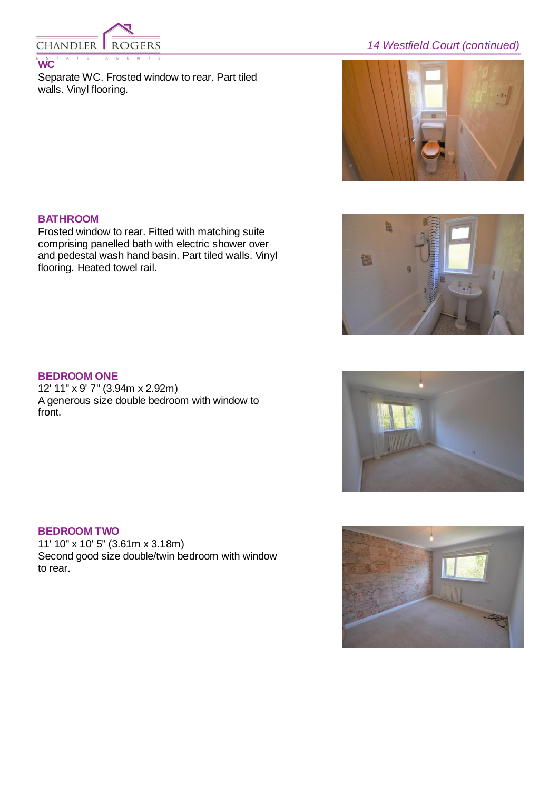

*14 Westfield Court (continued)*

Separate WC. Frosted window to rear. Part tiled walls. Vinyl flooring.



## **BATHROOM**

Frosted window to rear. Fitted with matching suite comprising panelled bath with electric shower over and pedestal wash hand basin. Part tiled walls. Vinyl flooring. Heated towel rail.

# **BEDROOM ONE**

12' 11" x 9' 7" (3.94m x 2.92m) A generous size double bedroom with window to front.

## **BEDROOM TWO**

11' 10" x 10' 5" (3.61m x 3.18m) Second good size double/twin bedroom with window to rear.





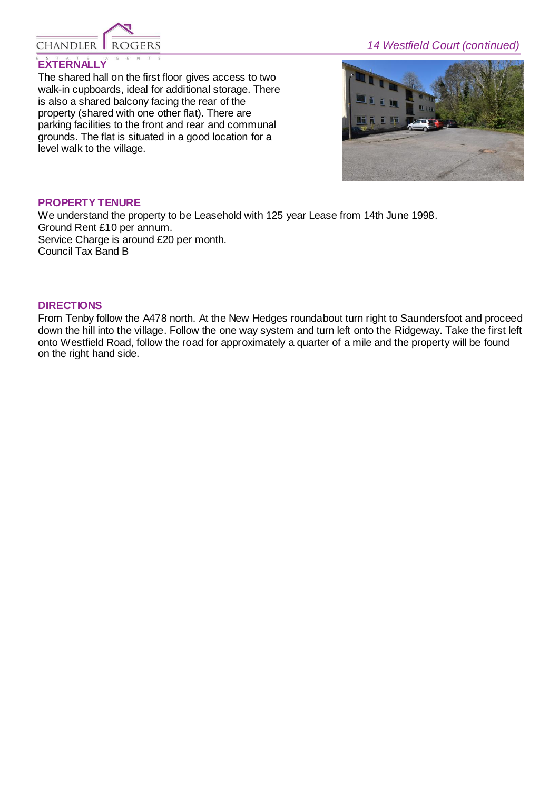

# *14 Westfield Court (continued)*

## **EXTERNALLY**

The shared hall on the first floor gives access to two walk-in cupboards, ideal for additional storage. There is also a shared balcony facing the rear of the property (shared with one other flat). There are parking facilities to the front and rear and communal grounds. The flat is situated in a good location for a level walk to the village.



#### **PROPERTY TENURE**

We understand the property to be Leasehold with 125 year Lease from 14th June 1998. Ground Rent £10 per annum. Service Charge is around £20 per month. Council Tax Band B

#### **DIRECTIONS**

From Tenby follow the A478 north. At the New Hedges roundabout turn right to Saundersfoot and proceed down the hill into the village. Follow the one way system and turn left onto the Ridgeway. Take the first left onto Westfield Road, follow the road for approximately a quarter of a mile and the property will be found on the right hand side.